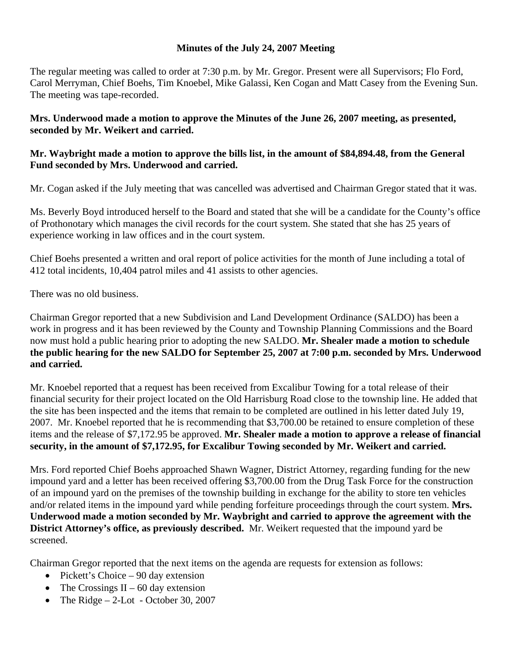## **Minutes of the July 24, 2007 Meeting**

The regular meeting was called to order at 7:30 p.m. by Mr. Gregor. Present were all Supervisors; Flo Ford, Carol Merryman, Chief Boehs, Tim Knoebel, Mike Galassi, Ken Cogan and Matt Casey from the Evening Sun. The meeting was tape-recorded.

## **Mrs. Underwood made a motion to approve the Minutes of the June 26, 2007 meeting, as presented, seconded by Mr. Weikert and carried.**

## **Mr. Waybright made a motion to approve the bills list, in the amount of \$84,894.48, from the General Fund seconded by Mrs. Underwood and carried.**

Mr. Cogan asked if the July meeting that was cancelled was advertised and Chairman Gregor stated that it was.

Ms. Beverly Boyd introduced herself to the Board and stated that she will be a candidate for the County's office of Prothonotary which manages the civil records for the court system. She stated that she has 25 years of experience working in law offices and in the court system.

Chief Boehs presented a written and oral report of police activities for the month of June including a total of 412 total incidents, 10,404 patrol miles and 41 assists to other agencies.

There was no old business.

Chairman Gregor reported that a new Subdivision and Land Development Ordinance (SALDO) has been a work in progress and it has been reviewed by the County and Township Planning Commissions and the Board now must hold a public hearing prior to adopting the new SALDO. **Mr. Shealer made a motion to schedule the public hearing for the new SALDO for September 25, 2007 at 7:00 p.m. seconded by Mrs. Underwood and carried.** 

Mr. Knoebel reported that a request has been received from Excalibur Towing for a total release of their financial security for their project located on the Old Harrisburg Road close to the township line. He added that the site has been inspected and the items that remain to be completed are outlined in his letter dated July 19, 2007. Mr. Knoebel reported that he is recommending that \$3,700.00 be retained to ensure completion of these items and the release of \$7,172.95 be approved. **Mr. Shealer made a motion to approve a release of financial security, in the amount of \$7,172.95, for Excalibur Towing seconded by Mr. Weikert and carried.** 

Mrs. Ford reported Chief Boehs approached Shawn Wagner, District Attorney, regarding funding for the new impound yard and a letter has been received offering \$3,700.00 from the Drug Task Force for the construction of an impound yard on the premises of the township building in exchange for the ability to store ten vehicles and/or related items in the impound yard while pending forfeiture proceedings through the court system. **Mrs. Underwood made a motion seconded by Mr. Waybright and carried to approve the agreement with the District Attorney's office, as previously described.** Mr. Weikert requested that the impound yard be screened.

Chairman Gregor reported that the next items on the agenda are requests for extension as follows:

- Pickett's Choice 90 day extension
- The Crossings II 60 day extension
- The Ridge  $-2$ -Lot October 30, 2007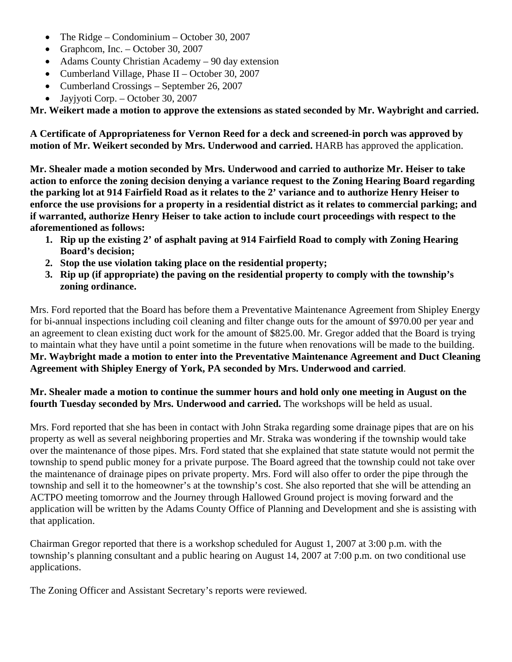- The Ridge Condominium October 30, 2007
- Graphcom, Inc. October 30, 2007
- Adams County Christian Academy 90 day extension
- Cumberland Village, Phase II October 30, 2007
- Cumberland Crossings September 26, 2007
- Jayjyoti Corp. October 30, 2007

**Mr. Weikert made a motion to approve the extensions as stated seconded by Mr. Waybright and carried.** 

**A Certificate of Appropriateness for Vernon Reed for a deck and screened-in porch was approved by motion of Mr. Weikert seconded by Mrs. Underwood and carried.** HARB has approved the application.

**Mr. Shealer made a motion seconded by Mrs. Underwood and carried to authorize Mr. Heiser to take action to enforce the zoning decision denying a variance request to the Zoning Hearing Board regarding the parking lot at 914 Fairfield Road as it relates to the 2' variance and to authorize Henry Heiser to enforce the use provisions for a property in a residential district as it relates to commercial parking; and if warranted, authorize Henry Heiser to take action to include court proceedings with respect to the aforementioned as follows:** 

- **1. Rip up the existing 2' of asphalt paving at 914 Fairfield Road to comply with Zoning Hearing Board's decision;**
- **2. Stop the use violation taking place on the residential property;**
- **3. Rip up (if appropriate) the paving on the residential property to comply with the township's zoning ordinance.**

Mrs. Ford reported that the Board has before them a Preventative Maintenance Agreement from Shipley Energy for bi-annual inspections including coil cleaning and filter change outs for the amount of \$970.00 per year and an agreement to clean existing duct work for the amount of \$825.00. Mr. Gregor added that the Board is trying to maintain what they have until a point sometime in the future when renovations will be made to the building. **Mr. Waybright made a motion to enter into the Preventative Maintenance Agreement and Duct Cleaning Agreement with Shipley Energy of York, PA seconded by Mrs. Underwood and carried**.

## **Mr. Shealer made a motion to continue the summer hours and hold only one meeting in August on the fourth Tuesday seconded by Mrs. Underwood and carried.** The workshops will be held as usual.

Mrs. Ford reported that she has been in contact with John Straka regarding some drainage pipes that are on his property as well as several neighboring properties and Mr. Straka was wondering if the township would take over the maintenance of those pipes. Mrs. Ford stated that she explained that state statute would not permit the township to spend public money for a private purpose. The Board agreed that the township could not take over the maintenance of drainage pipes on private property. Mrs. Ford will also offer to order the pipe through the township and sell it to the homeowner's at the township's cost. She also reported that she will be attending an ACTPO meeting tomorrow and the Journey through Hallowed Ground project is moving forward and the application will be written by the Adams County Office of Planning and Development and she is assisting with that application.

Chairman Gregor reported that there is a workshop scheduled for August 1, 2007 at 3:00 p.m. with the township's planning consultant and a public hearing on August 14, 2007 at 7:00 p.m. on two conditional use applications.

The Zoning Officer and Assistant Secretary's reports were reviewed.